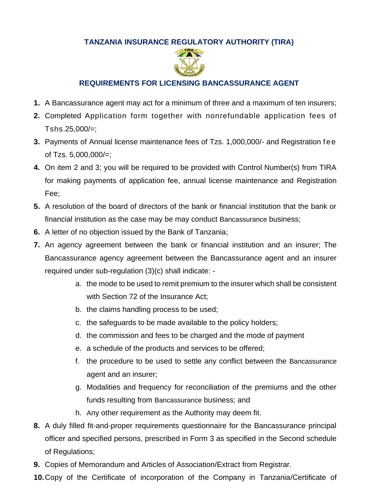## **TANZANIA INSURANCE REGULATORY AUTHORITY (TIRA)**



## **REQUIREMENTS FOR LICENSING BANCASSURANCE AGENT**

- **1.** A Bancassurance agent may act for a minimum of three and a maximum of ten insurers;
- **2.** Completed Application form together with nonrefundable application fees of Tshs.25,000/=;
- **3.** Payments of Annual license maintenance fees of Tzs. 1,000,000/- and Registration f ee of Tzs. 5,000,000/=;
- **4.** On item 2 and 3; you will be required to be provided with Control Number(s) from TIRA for making payments of application fee, annual license maintenance and Registration Fee;
- **5.** A resolution of the board of directors of the bank or financial institution that the bank or financial institution as the case may be may conduct Bancassurance business;
- **6.** A letter of no objection issued by the Bank of Tanzania;
- **7.** An agency agreement between the bank or financial institution and an insurer; The Bancassurance agency agreement between the Bancassurance agent and an insurer required under sub-regulation (3)(c) shall indicate:
	- a. the mode to be used to remit premium to the insurer which shall be consistent with Section 72 of the Insurance Act;
	- b. the claims handling process to be used;
	- c. the safeguards to be made available to the policy holders;
	- d. the commission and fees to be charged and the mode of payment
	- e. a schedule of the products and services to be offered;
	- f. the procedure to be used to settle any conflict between the Bancassurance agent and an insurer;
	- g. Modalities and frequency for reconciliation of the premiums and the other funds resulting from Bancassurance business; and
	- h. Any other requirement as the Authority may deem fit.
- **8.** A duly filled fit-and-proper requirements questionnaire for the Bancassurance principal officer and specified persons, prescribed in Form 3 as specified in the Second schedule of Regulations;
- **9.** Copies of Memorandum and Articles of Association/Extract from Registrar.
- **10.**Copy of the Certificate of incorporation of the Company in Tanzania/Certificate of